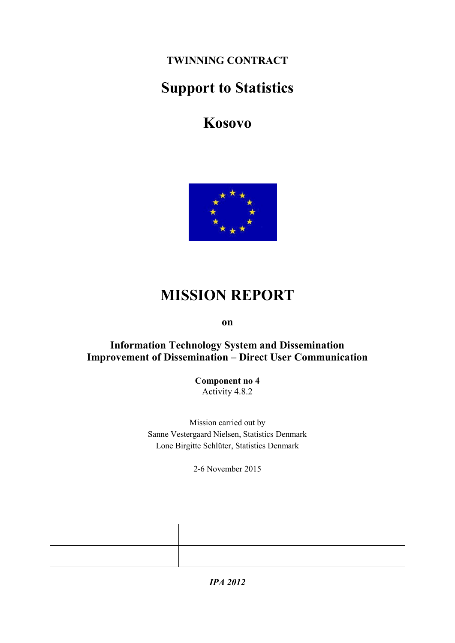**TWINNING CONTRACT**

# **Support to Statistics**

**Kosovo**



# **MISSION REPORT**

**on**

### **Information Technology System and Dissemination Improvement of Dissemination – Direct User Communication**

**Component no 4** Activity 4.8.2

Mission carried out by Sanne Vestergaard Nielsen, Statistics Denmark Lone Birgitte Schlüter, Statistics Denmark

2-6 November 2015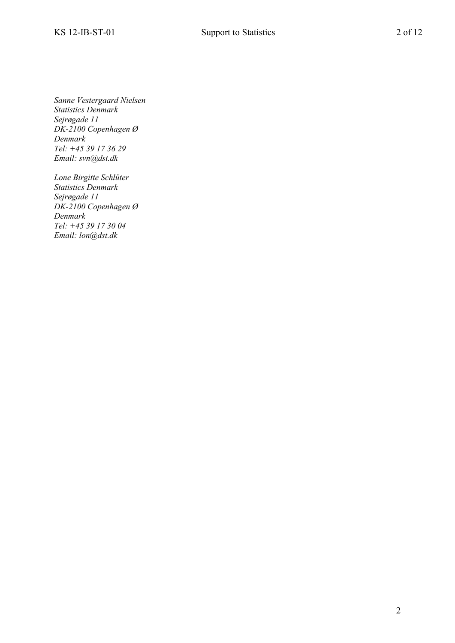*Sanne Vestergaard Nielsen Statistics Denmark Sejrøgade 11 DK-2100 Copenhagen Ø Denmark Tel: +45 39 17 36 29 Email: svn@dst.dk* 

*Lone Birgitte Schlüter Statistics Denmark Sejrøgade 11 DK-2100 Copenhagen Ø Denmark Tel: +45 39 17 30 04 Email: lon@dst.dk*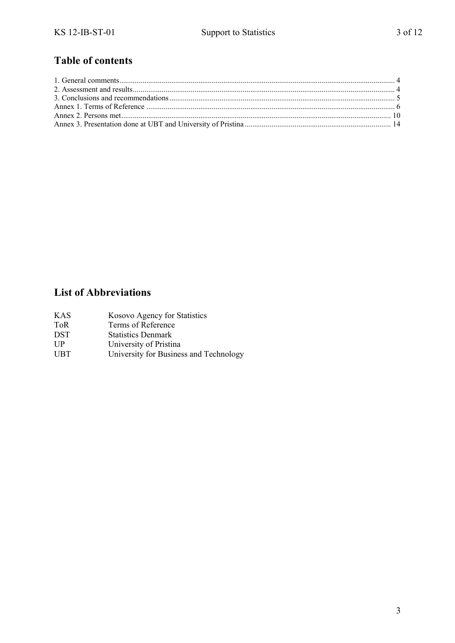### **Table of contents**

### **List of Abbreviations**

| KAS | Kosovo Agency for Statistics |
|-----|------------------------------|
| ToR | Terms of Reference           |

- DST Statistics Denmark
- UP University of Pristina
- UBT University for Business and Technology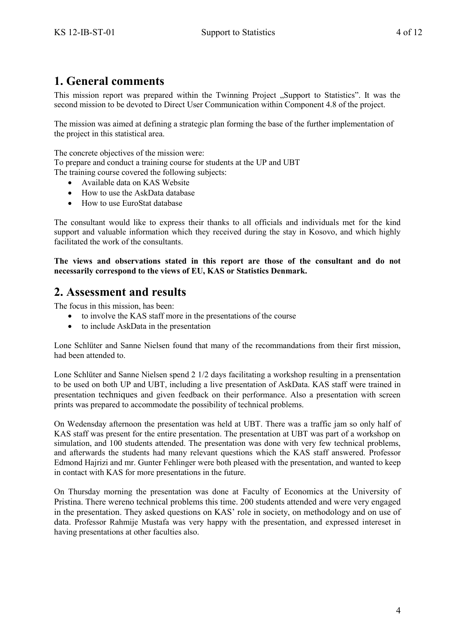### <span id="page-3-0"></span>**1. General comments**

This mission report was prepared within the Twinning Project "Support to Statistics". It was the second mission to be devoted to Direct User Communication within Component 4.8 of the project.

The mission was aimed at defining a strategic plan forming the base of the further implementation of the project in this statistical area.

The concrete objectives of the mission were:

To prepare and conduct a training course for students at the UP and UBT

The training course covered the following subjects:

- Available data on KAS Website
- How to use the AskData database
- How to use EuroStat database

The consultant would like to express their thanks to all officials and individuals met for the kind support and valuable information which they received during the stay in Kosovo, and which highly facilitated the work of the consultants.

**The views and observations stated in this report are those of the consultant and do not necessarily correspond to the views of EU, KAS or Statistics Denmark.**

### <span id="page-3-1"></span>**2. Assessment and results**

The focus in this mission, has been:

- to involve the KAS staff more in the presentations of the course
- to include AskData in the presentation

Lone Schlüter and Sanne Nielsen found that many of the recommandations from their first mission, had been attended to.

Lone Schlüter and Sanne Nielsen spend 2 1/2 days facilitating a workshop resulting in a prensentation to be used on both UP and UBT, including a live presentation of AskData. KAS staff were trained in presentation techniques and given feedback on their performance. Also a presentation with screen prints was prepared to accommodate the possibility of technical problems.

On Wedensday afternoon the presentation was held at UBT. There was a traffic jam so only half of KAS staff was present for the entire presentation. The presentation at UBT was part of a workshop on simulation, and 100 students attended. The presentation was done with very few technical problems, and afterwards the students had many relevant questions which the KAS staff answered. Professor Edmond Hajrizi and mr. Gunter Fehlinger were both pleased with the presentation, and wanted to keep in contact with KAS for more presentations in the future.

On Thursday morning the presentation was done at Faculty of Economics at the University of Pristina. There wereno technical problems this time. 200 students attended and were very engaged in the presentation. They asked questions on KAS' role in society, on methodology and on use of data. Professor Rahmije Mustafa was very happy with the presentation, and expressed intereset in having presentations at other faculties also.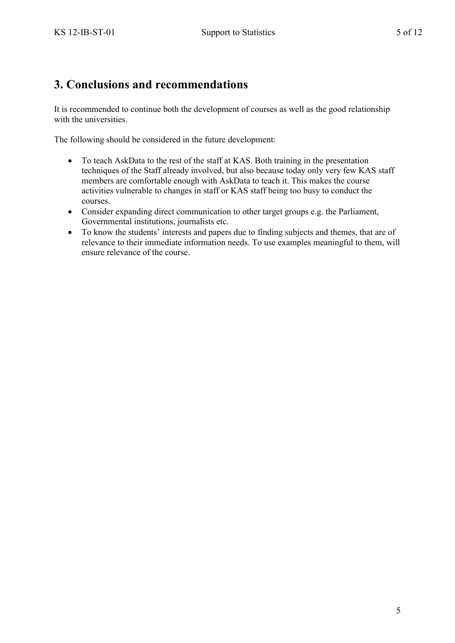### <span id="page-4-0"></span>**3. Conclusions and recommendations**

It is recommended to continue both the development of courses as well as the good relationship with the universities.

The following should be considered in the future development:

- To teach AskData to the rest of the staff at KAS. Both training in the presentation techniques of the Staff already involved, but also because today only very few KAS staff members are comfortable enough with AskData to teach it. This makes the course activities vulnerable to changes in staff or KAS staff being too busy to conduct the courses.
- Consider expanding direct communication to other target groups e.g. the Parliament, Governmental institutions, journalists etc.
- To know the students' interests and papers due to finding subjects and themes, that are of relevance to their immediate information needs. To use examples meaningful to them, will ensure relevance of the course.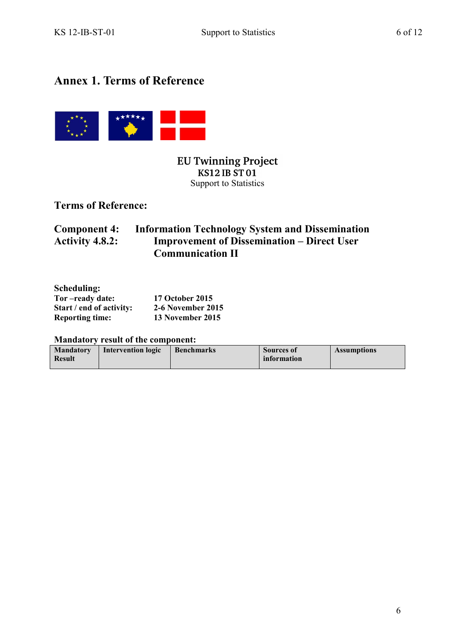### <span id="page-5-0"></span>**Annex 1. Terms of Reference**



**EU Twinning Project KS12 IB ST01** Support to Statistics

**Terms of Reference:**

### **Component 4:** Information Technology System and Dissemination<br>Activity 4.8.2: Improvement of Dissemination – Direct User **Activity 4.8.2: Improvement of Dissemination – Direct User Communication II**

| Scheduling:              |                          |
|--------------------------|--------------------------|
| Tor-ready date:          | <b>17 October 2015</b>   |
| Start / end of activity: | <b>2-6 November 2015</b> |
| <b>Reporting time:</b>   | 13 November 2015         |

**Mandatory result of the component:**

| <b>Mandatory</b> | Intervention logic | <b>Benchmarks</b> | <b>Sources of</b> | <b>Assumptions</b> |
|------------------|--------------------|-------------------|-------------------|--------------------|
| <b>Result</b>    |                    |                   | information       |                    |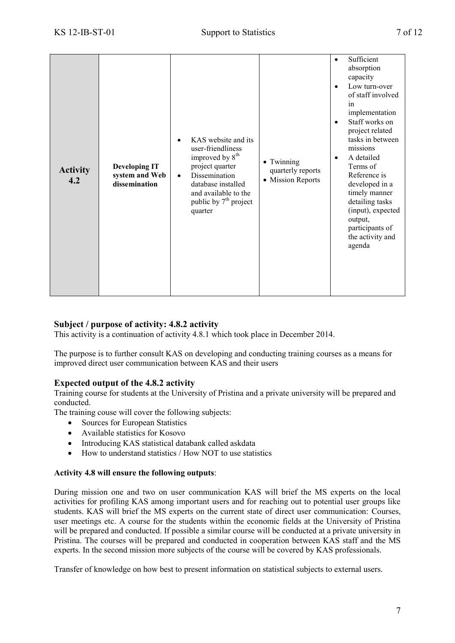| <b>Activity</b><br>4.2 | <b>Developing IT</b><br>system and Web<br>dissemination | KAS website and its<br>user-friendliness<br>improved by 8 <sup>th</sup><br>project quarter<br>Dissemination<br>٠<br>database installed<br>and available to the<br>public by 7 <sup>th</sup> project<br>quarter | • Twinning<br>quarterly reports<br>• Mission Reports | Sufficient<br>$\bullet$<br>absorption<br>capacity<br>Low turn-over<br>$\bullet$<br>of staff involved<br>in<br>implementation<br>Staff works on<br>$\bullet$<br>project related<br>tasks in between<br>missions<br>A detailed<br>٠<br>Terms of<br>Reference is<br>developed in a<br>timely manner<br>detailing tasks<br>(input), expected<br>output,<br>participants of<br>the activity and<br>agenda |
|------------------------|---------------------------------------------------------|----------------------------------------------------------------------------------------------------------------------------------------------------------------------------------------------------------------|------------------------------------------------------|------------------------------------------------------------------------------------------------------------------------------------------------------------------------------------------------------------------------------------------------------------------------------------------------------------------------------------------------------------------------------------------------------|
|------------------------|---------------------------------------------------------|----------------------------------------------------------------------------------------------------------------------------------------------------------------------------------------------------------------|------------------------------------------------------|------------------------------------------------------------------------------------------------------------------------------------------------------------------------------------------------------------------------------------------------------------------------------------------------------------------------------------------------------------------------------------------------------|

#### **Subject / purpose of activity: 4.8.2 activity**

This activity is a continuation of activity 4.8.1 which took place in December 2014.

The purpose is to further consult KAS on developing and conducting training courses as a means for improved direct user communication between KAS and their users

#### **Expected output of the 4.8.2 activity**

Training course for students at the University of Pristina and a private university will be prepared and conducted.

The training couse will cover the following subjects:

- Sources for European Statistics
- Available statistics for Kosovo
- Introducing KAS statistical databank called askdata
- How to understand statistics / How NOT to use statistics

#### **Activity 4.8 will ensure the following outputs**:

During mission one and two on user communication KAS will brief the MS experts on the local activities for profiling KAS among important users and for reaching out to potential user groups like students. KAS will brief the MS experts on the current state of direct user communication: Courses, user meetings etc. A course for the students within the economic fields at the University of Pristina will be prepared and conducted. If possible a similar course will be conducted at a private university in Pristina. The courses will be prepared and conducted in cooperation between KAS staff and the MS experts. In the second mission more subjects of the course will be covered by KAS professionals.

Transfer of knowledge on how best to present information on statistical subjects to external users.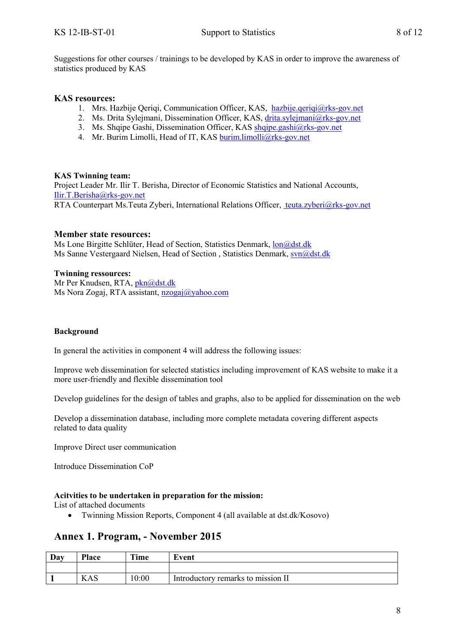Suggestions for other courses / trainings to be developed by KAS in order to improve the awareness of statistics produced by KAS

#### **KAS resources:**

- 1. Mrs. Hazbije Qeriqi, Communication Officer, KAS, [hazbije.qeriqi@rks-gov.net](mailto:hazbije.qeriqi@rks-gov.net)
- 2. Ms. Drita Sylejmani, Dissemination Officer, KAS, [drita.sylejmani@rks-gov.net](mailto:drita.sylejmani@rks-gov.net)
- 3. Ms. Shqipe Gashi, Dissemination Officer, KA[S shqipe.gashi@rks-gov.net](mailto:shqipe.gashi@rks-gov.net)
- 4. Mr. Burim Limolli, Head of IT, KAS [burim.limolli@rks-gov.net](mailto:burim.limolli@rks-gov.net)

#### **KAS Twinning team:**

Project Leader Mr. Ilir T. Berisha, Director of Economic Statistics and National Accounts, [Ilir.T.Berisha@rks-gov.net](file:///C:/Users/Dstmove/AppData/Local/Microsoft/Dstmove/AppData/Local/Microsoft/Windows/Temporary%20Internet%20Files/Content.IE5/HIQMOBD5/Ilir.T.Berisha@rks-gov.net) RTA Counterpart Ms.Teuta Zyberi, International Relations Officer, [teuta.zyberi@rks-gov.net](mailto:%20teuta.zyberi@rks-gov.net)

#### **Member state resources:**

Ms Lone Birgitte Schlüter, Head of Section, Statistics Denmark, [lon@dst.dk](mailto:lon@dst.dk) Ms Sanne Vestergaard Nielsen, Head of Section, Statistics Denmark, [svn@dst.dk](mailto:svn@dst.dk)

#### **Twinning ressources:**

Mr Per Knudsen, RTA, [pkn@dst.dk](mailto:pkn@dst.dk) Ms Nora Zogaj, RTA assistant, [nzogaj@yahoo.com](mailto:nzogaj@yahoo.com)

#### **Background**

In general the activities in component 4 will address the following issues:

Improve web dissemination for selected statistics including improvement of KAS website to make it a more user-friendly and flexible dissemination tool

Develop guidelines for the design of tables and graphs, also to be applied for dissemination on the web

Develop a dissemination database, including more complete metadata covering different aspects related to data quality

Improve Direct user communication

Introduce Dissemination CoP

#### **Acitvities to be undertaken in preparation for the mission:**

List of attached documents

Twinning Mission Reports, Component 4 (all available at dst.dk/Kosovo)

### **Annex 1. Program, - November 2015**

| Day | Place | Time  | Event                              |
|-----|-------|-------|------------------------------------|
|     |       |       |                                    |
|     | KAS   | 10:00 | Introductory remarks to mission II |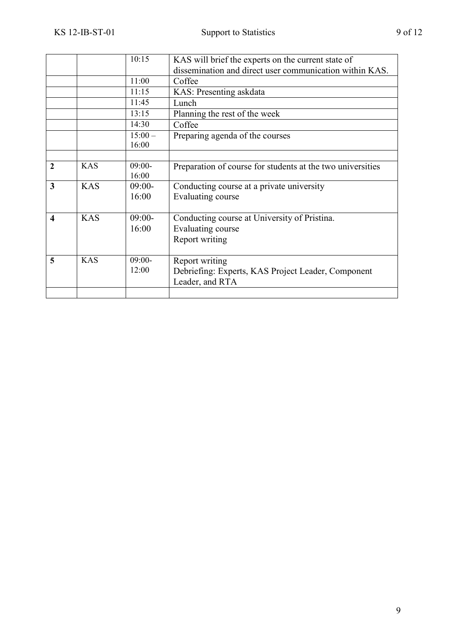|                         |            | 10:15    | KAS will brief the experts on the current state of         |
|-------------------------|------------|----------|------------------------------------------------------------|
|                         |            |          | dissemination and direct user communication within KAS.    |
|                         |            | 11:00    | Coffee                                                     |
|                         |            | 11:15    | KAS: Presenting askdata                                    |
|                         |            | 11:45    | Lunch                                                      |
|                         |            | 13:15    | Planning the rest of the week                              |
|                         |            | 14:30    | Coffee                                                     |
|                         |            | $15:00-$ | Preparing agenda of the courses                            |
|                         |            | 16:00    |                                                            |
|                         |            |          |                                                            |
| $\mathbf{2}$            | <b>KAS</b> | $09:00-$ | Preparation of course for students at the two universities |
|                         |            | 16:00    |                                                            |
| 3                       | <b>KAS</b> | $09:00-$ | Conducting course at a private university                  |
|                         |            | 16:00    | Evaluating course                                          |
|                         |            |          |                                                            |
| $\overline{\mathbf{4}}$ | <b>KAS</b> | $09:00-$ | Conducting course at University of Pristina.               |
|                         |            | 16:00    | Evaluating course                                          |
|                         |            |          | Report writing                                             |
|                         |            |          |                                                            |
| 5                       | <b>KAS</b> | $09:00-$ | Report writing                                             |
|                         |            | 12:00    | Debriefing: Experts, KAS Project Leader, Component         |
|                         |            |          | Leader, and RTA                                            |
|                         |            |          |                                                            |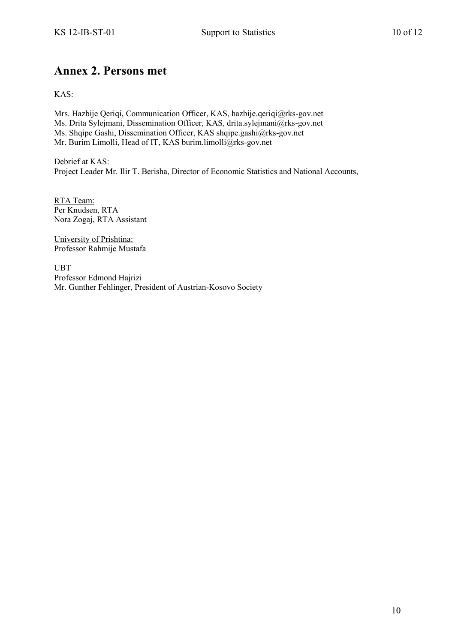### <span id="page-9-0"></span>**Annex 2. Persons met**

KAS:

Mrs. Hazbije Qeriqi, Communication Officer, KAS, hazbije.qeriqi@rks-gov.net Ms. Drita Sylejmani, Dissemination Officer, KAS, drita.sylejmani@rks-gov.net Ms. Shqipe Gashi, Dissemination Officer, KAS shqipe.gashi@rks-gov.net Mr. Burim Limolli, Head of IT, KAS burim.limolli@rks-gov.net

Debrief at KAS: Project Leader Mr. Ilir T. Berisha, Director of Economic Statistics and National Accounts,

RTA Team: Per Knudsen, RTA Nora Zogaj, RTA Assistant

University of Prishtina: Professor Rahmije Mustafa

UBT Professor Edmond Hajrizi Mr. Gunther Fehlinger, President of Austrian-Kosovo Society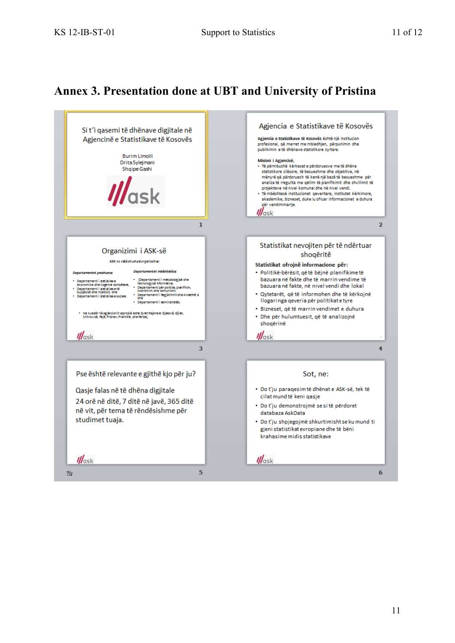## <span id="page-10-0"></span>**Annex 3. Presentation done at UBT and University of Pristina**